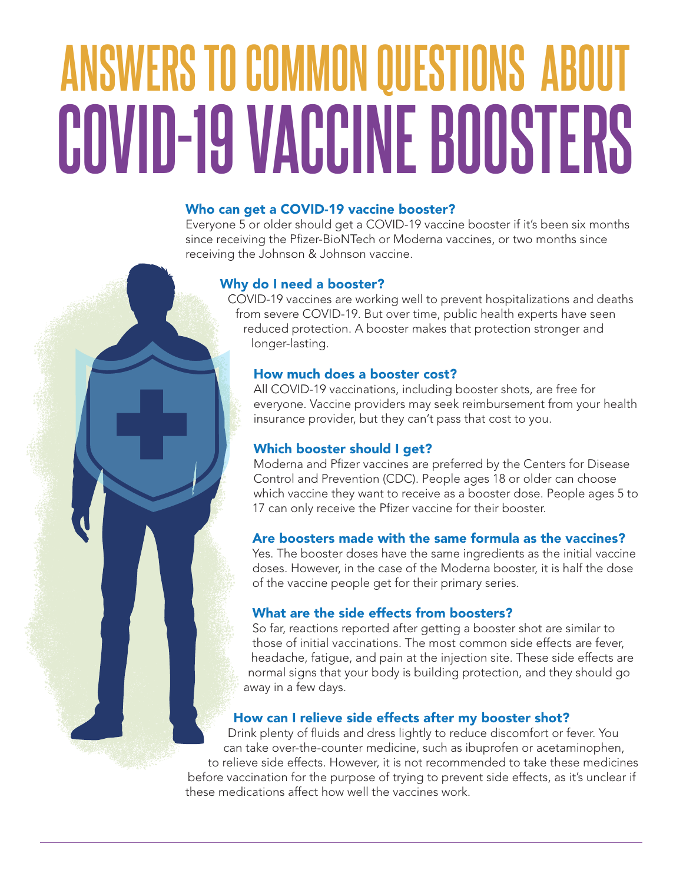# **ANSWERS TO COMMON QUESTIONS ABOUT COVID-19 VACCINE BOOSTERS**

#### Who can get a COVID-19 vaccine booster?

Everyone 5 or older should get a COVID-19 vaccine booster if it's been six months since receiving the Pfizer-BioNTech or Moderna vaccines, or two months since receiving the Johnson & Johnson vaccine.

#### Why do I need a booster?

COVID-19 vaccines are working well to prevent hospitalizations and deaths from severe COVID-19. But over time, public health experts have seen reduced protection. A booster makes that protection stronger and longer-lasting.

#### How much does a booster cost?

All COVID-19 vaccinations, including booster shots, are free for everyone. Vaccine providers may seek reimbursement from your health insurance provider, but they can't pass that cost to you.

### Which booster should I get?

Moderna and Pfizer vaccines are preferred by the Centers for Disease Control and Prevention (CDC). People ages 18 or older can choose which vaccine they want to receive as a booster dose. People ages 5 to 17 can only receive the Pfizer vaccine for their booster.

#### Are boosters made with the same formula as the vaccines?

Yes. The booster doses have the same ingredients as the initial vaccine doses. However, in the case of the Moderna booster, it is half the dose of the vaccine people get for their primary series.

#### What are the side effects from boosters?

So far, reactions reported after getting a booster shot are similar to those of initial vaccinations. The most common side effects are fever, headache, fatigue, and pain at the injection site. These side effects are normal signs that your body is building protection, and they should go away in a few days.

#### How can I relieve side effects after my booster shot?

Drink plenty of fluids and dress lightly to reduce discomfort or fever. You can take over-the-counter medicine, such as ibuprofen or acetaminophen, to relieve side effects. However, it is not recommended to take these medicines before vaccination for the purpose of trying to prevent side effects, as it's unclear if these medications affect how well the vaccines work.